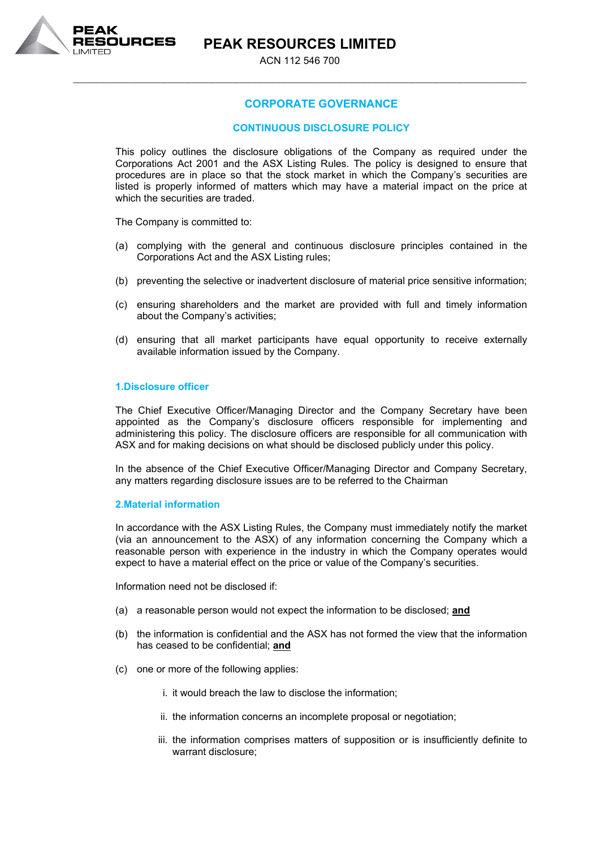\_\_\_\_\_\_\_\_\_\_\_\_\_\_\_\_\_\_\_\_\_\_\_\_\_\_\_\_\_\_\_\_\_\_\_\_\_\_\_\_\_\_\_\_\_\_\_\_\_\_\_\_\_\_\_\_\_\_\_\_\_\_\_\_\_\_\_\_\_\_\_\_\_\_\_



# **CORPORATE GOVERNANCE**

# **CONTINUOUS DISCLOSURE POLICY**

This policy outlines the disclosure obligations of the Company as required under the Corporations Act 2001 and the ASX Listing Rules. The policy is designed to ensure that procedures are in place so that the stock market in which the Company's securities are listed is properly informed of matters which may have a material impact on the price at which the securities are traded.

The Company is committed to:

- (a) complying with the general and continuous disclosure principles contained in the Corporations Act and the ASX Listing rules;
- (b) preventing the selective or inadvertent disclosure of material price sensitive information;
- (c) ensuring shareholders and the market are provided with full and timely information about the Company's activities;
- (d) ensuring that all market participants have equal opportunity to receive externally available information issued by the Company.

#### **1.Disclosure officer**

The Chief Executive Officer/Managing Director and the Company Secretary have been appointed as the Company's disclosure officers responsible for implementing and administering this policy. The disclosure officers are responsible for all communication with ASX and for making decisions on what should be disclosed publicly under this policy.

In the absence of the Chief Executive Officer/Managing Director and Company Secretary, any matters regarding disclosure issues are to be referred to the Chairman

#### **2.Material information**

In accordance with the ASX Listing Rules, the Company must immediately notify the market (via an announcement to the ASX) of any information concerning the Company which a reasonable person with experience in the industry in which the Company operates would expect to have a material effect on the price or value of the Company's securities.

Information need not be disclosed if:

- (a) a reasonable person would not expect the information to be disclosed; **and**
- (b) the information is confidential and the ASX has not formed the view that the information has ceased to be confidential; **and**
- (c) one or more of the following applies:
	- i. it would breach the law to disclose the information;
	- ii. the information concerns an incomplete proposal or negotiation;
	- iii. the information comprises matters of supposition or is insufficiently definite to warrant disclosure;

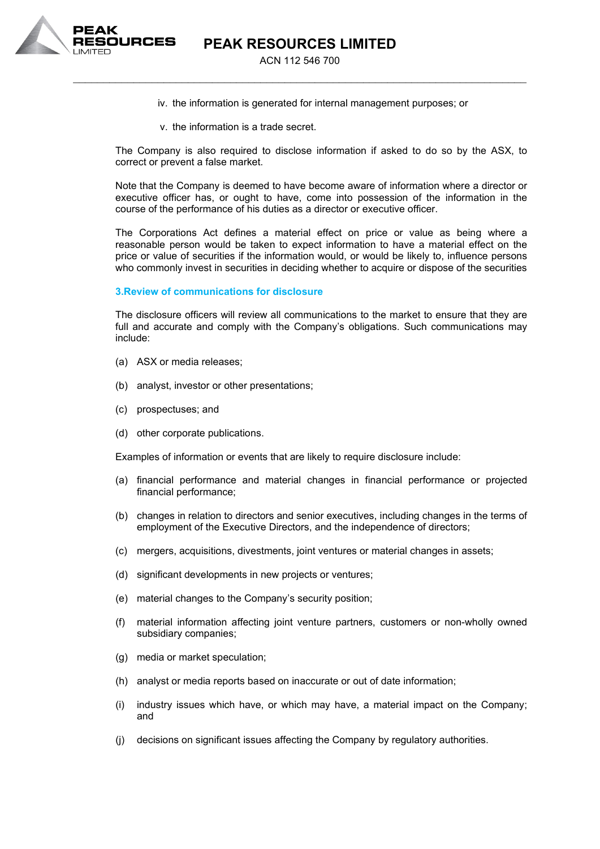

ACN 112 546 700 \_\_\_\_\_\_\_\_\_\_\_\_\_\_\_\_\_\_\_\_\_\_\_\_\_\_\_\_\_\_\_\_\_\_\_\_\_\_\_\_\_\_\_\_\_\_\_\_\_\_\_\_\_\_\_\_\_\_\_\_\_\_\_\_\_\_\_\_\_\_\_\_\_\_\_

- iv. the information is generated for internal management purposes; or
- v. the information is a trade secret.

The Company is also required to disclose information if asked to do so by the ASX, to correct or prevent a false market.

Note that the Company is deemed to have become aware of information where a director or executive officer has, or ought to have, come into possession of the information in the course of the performance of his duties as a director or executive officer.

The Corporations Act defines a material effect on price or value as being where a reasonable person would be taken to expect information to have a material effect on the price or value of securities if the information would, or would be likely to, influence persons who commonly invest in securities in deciding whether to acquire or dispose of the securities

#### **3.Review of communications for disclosure**

The disclosure officers will review all communications to the market to ensure that they are full and accurate and comply with the Company's obligations. Such communications may include:

- (a) ASX or media releases;
- (b) analyst, investor or other presentations;
- (c) prospectuses; and
- (d) other corporate publications.

Examples of information or events that are likely to require disclosure include:

- (a) financial performance and material changes in financial performance or projected financial performance;
- (b) changes in relation to directors and senior executives, including changes in the terms of employment of the Executive Directors, and the independence of directors;
- (c) mergers, acquisitions, divestments, joint ventures or material changes in assets;
- (d) significant developments in new projects or ventures;
- (e) material changes to the Company's security position;
- (f) material information affecting joint venture partners, customers or non-wholly owned subsidiary companies;
- (g) media or market speculation;
- (h) analyst or media reports based on inaccurate or out of date information;
- (i) industry issues which have, or which may have, a material impact on the Company; and
- (j) decisions on significant issues affecting the Company by regulatory authorities.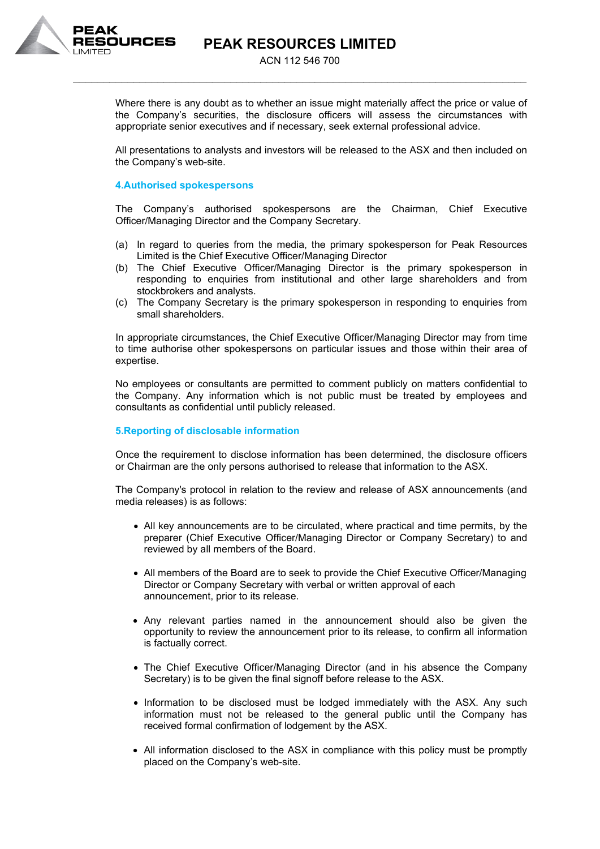

ACN 112 546 700 \_\_\_\_\_\_\_\_\_\_\_\_\_\_\_\_\_\_\_\_\_\_\_\_\_\_\_\_\_\_\_\_\_\_\_\_\_\_\_\_\_\_\_\_\_\_\_\_\_\_\_\_\_\_\_\_\_\_\_\_\_\_\_\_\_\_\_\_\_\_\_\_\_\_\_

Where there is any doubt as to whether an issue might materially affect the price or value of the Company's securities, the disclosure officers will assess the circumstances with appropriate senior executives and if necessary, seek external professional advice.

All presentations to analysts and investors will be released to the ASX and then included on the Company's web-site.

# **4.Authorised spokespersons**

The Company's authorised spokespersons are the Chairman, Chief Executive Officer/Managing Director and the Company Secretary.

- (a) In regard to queries from the media, the primary spokesperson for Peak Resources Limited is the Chief Executive Officer/Managing Director
- (b) The Chief Executive Officer/Managing Director is the primary spokesperson in responding to enquiries from institutional and other large shareholders and from stockbrokers and analysts.
- (c) The Company Secretary is the primary spokesperson in responding to enquiries from small shareholders.

In appropriate circumstances, the Chief Executive Officer/Managing Director may from time to time authorise other spokespersons on particular issues and those within their area of expertise.

No employees or consultants are permitted to comment publicly on matters confidential to the Company. Any information which is not public must be treated by employees and consultants as confidential until publicly released.

#### **5.Reporting of disclosable information**

Once the requirement to disclose information has been determined, the disclosure officers or Chairman are the only persons authorised to release that information to the ASX.

The Company's protocol in relation to the review and release of ASX announcements (and media releases) is as follows:

- All key announcements are to be circulated, where practical and time permits, by the preparer (Chief Executive Officer/Managing Director or Company Secretary) to and reviewed by all members of the Board.
- All members of the Board are to seek to provide the Chief Executive Officer/Managing Director or Company Secretary with verbal or written approval of each announcement, prior to its release.
- Any relevant parties named in the announcement should also be given the opportunity to review the announcement prior to its release, to confirm all information is factually correct.
- The Chief Executive Officer/Managing Director (and in his absence the Company Secretary) is to be given the final signoff before release to the ASX.
- Information to be disclosed must be lodged immediately with the ASX. Any such information must not be released to the general public until the Company has received formal confirmation of lodgement by the ASX.
- All information disclosed to the ASX in compliance with this policy must be promptly placed on the Company's web-site.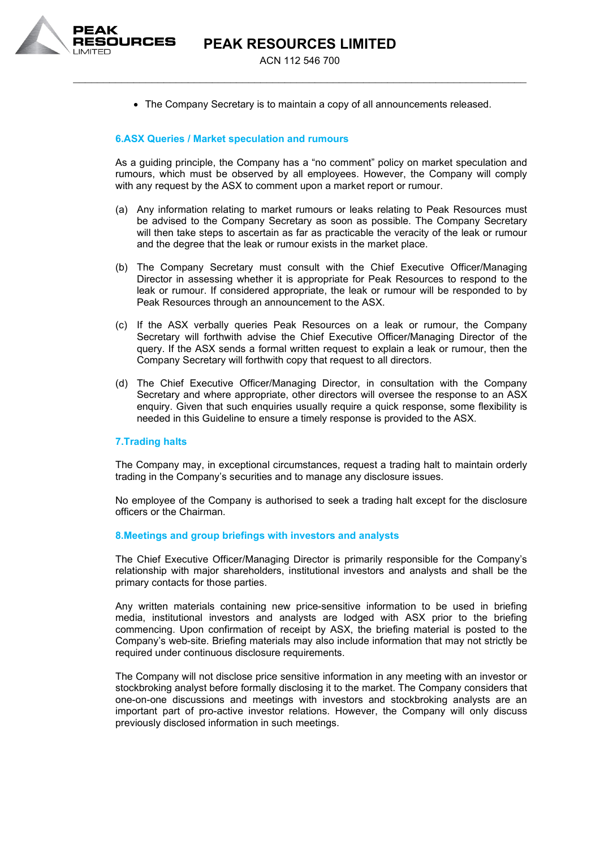

ACN 112 546 700 \_\_\_\_\_\_\_\_\_\_\_\_\_\_\_\_\_\_\_\_\_\_\_\_\_\_\_\_\_\_\_\_\_\_\_\_\_\_\_\_\_\_\_\_\_\_\_\_\_\_\_\_\_\_\_\_\_\_\_\_\_\_\_\_\_\_\_\_\_\_\_\_\_\_\_

• The Company Secretary is to maintain a copy of all announcements released.

# **6.ASX Queries / Market speculation and rumours**

As a guiding principle, the Company has a "no comment" policy on market speculation and rumours, which must be observed by all employees. However, the Company will comply with any request by the ASX to comment upon a market report or rumour.

- (a) Any information relating to market rumours or leaks relating to Peak Resources must be advised to the Company Secretary as soon as possible. The Company Secretary will then take steps to ascertain as far as practicable the veracity of the leak or rumour and the degree that the leak or rumour exists in the market place.
- (b) The Company Secretary must consult with the Chief Executive Officer/Managing Director in assessing whether it is appropriate for Peak Resources to respond to the leak or rumour. If considered appropriate, the leak or rumour will be responded to by Peak Resources through an announcement to the ASX.
- (c) If the ASX verbally queries Peak Resources on a leak or rumour, the Company Secretary will forthwith advise the Chief Executive Officer/Managing Director of the query. If the ASX sends a formal written request to explain a leak or rumour, then the Company Secretary will forthwith copy that request to all directors.
- (d) The Chief Executive Officer/Managing Director, in consultation with the Company Secretary and where appropriate, other directors will oversee the response to an ASX enquiry. Given that such enquiries usually require a quick response, some flexibility is needed in this Guideline to ensure a timely response is provided to the ASX.

#### **7.Trading halts**

The Company may, in exceptional circumstances, request a trading halt to maintain orderly trading in the Company's securities and to manage any disclosure issues.

No employee of the Company is authorised to seek a trading halt except for the disclosure officers or the Chairman.

#### **8.Meetings and group briefings with investors and analysts**

The Chief Executive Officer/Managing Director is primarily responsible for the Company's relationship with major shareholders, institutional investors and analysts and shall be the primary contacts for those parties.

Any written materials containing new price-sensitive information to be used in briefing media, institutional investors and analysts are lodged with ASX prior to the briefing commencing. Upon confirmation of receipt by ASX, the briefing material is posted to the Company's web-site. Briefing materials may also include information that may not strictly be required under continuous disclosure requirements.

The Company will not disclose price sensitive information in any meeting with an investor or stockbroking analyst before formally disclosing it to the market. The Company considers that one-on-one discussions and meetings with investors and stockbroking analysts are an important part of pro-active investor relations. However, the Company will only discuss previously disclosed information in such meetings.